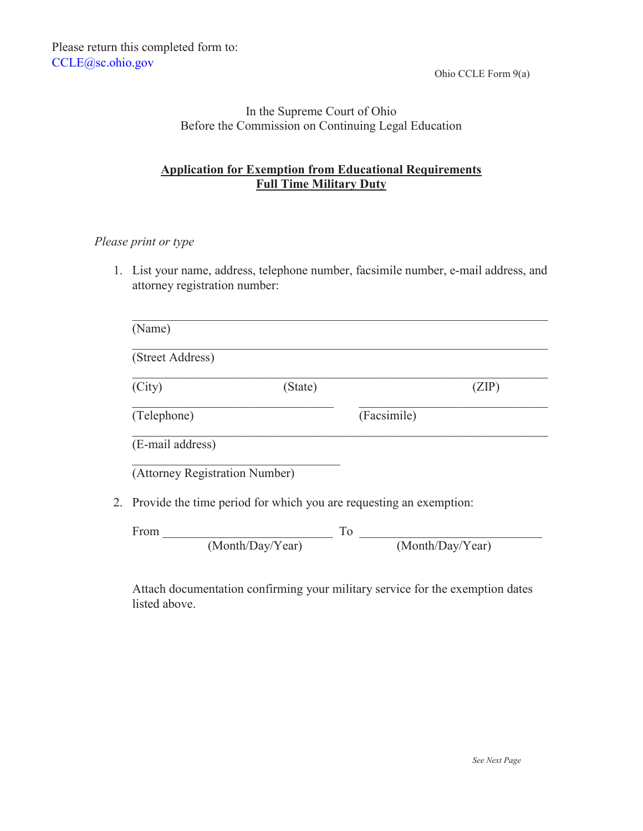Ohio CCLE Form 9(a)

### In the Supreme Court of Ohio Before the Commission on Continuing Legal Education

# **Application for Exemption from Educational Requirements Full Time Military Duty**

#### *Please print or type*

1. List your name, address, telephone number, facsimile number, e-mail address, and attorney registration number:

| (Street Address)               |                  |                                                                       |
|--------------------------------|------------------|-----------------------------------------------------------------------|
| (City)                         | (State)          | (ZIP)                                                                 |
| (Telephone)                    |                  | (Facsimile)                                                           |
| (E-mail address)               |                  |                                                                       |
| (Attorney Registration Number) |                  |                                                                       |
|                                |                  | 2. Provide the time period for which you are requesting an exemption: |
| From                           | To               |                                                                       |
|                                | (Month/Day/Year) | (Month/Day/Year)                                                      |

Attach documentation confirming your military service for the exemption dates listed above.